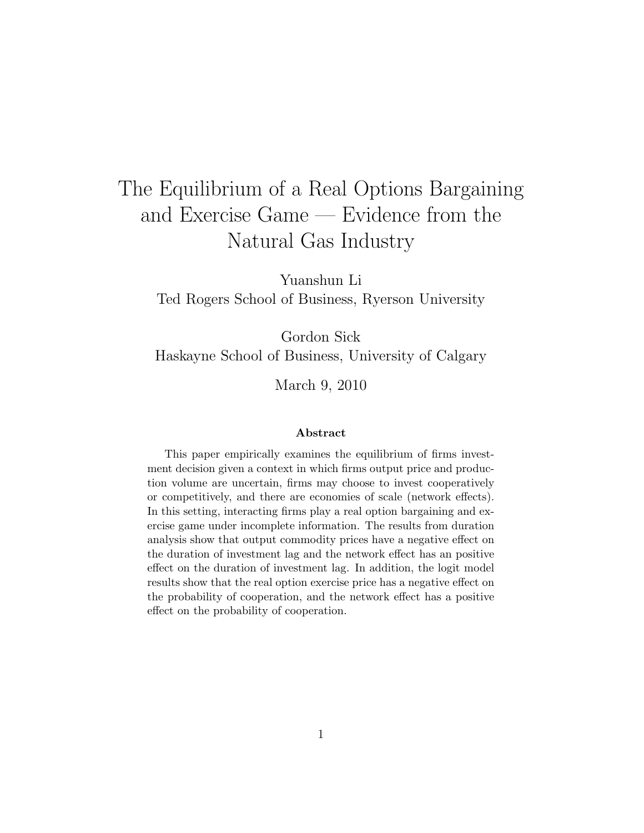# The Equilibrium of a Real Options Bargaining and Exercise Game — Evidence from the Natural Gas Industry

Yuanshun Li Ted Rogers School of Business, Ryerson University

Gordon Sick Haskayne School of Business, University of Calgary

March 9, 2010

#### Abstract

This paper empirically examines the equilibrium of firms investment decision given a context in which firms output price and production volume are uncertain, firms may choose to invest cooperatively or competitively, and there are economies of scale (network effects). In this setting, interacting firms play a real option bargaining and exercise game under incomplete information. The results from duration analysis show that output commodity prices have a negative effect on the duration of investment lag and the network effect has an positive effect on the duration of investment lag. In addition, the logit model results show that the real option exercise price has a negative effect on the probability of cooperation, and the network effect has a positive effect on the probability of cooperation.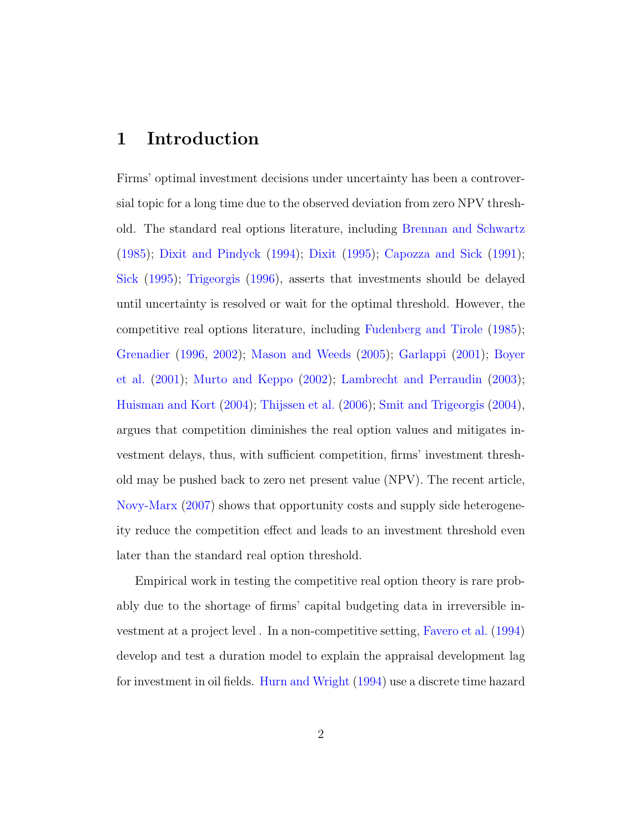### 1 Introduction

Firms' optimal investment decisions under uncertainty has been a controversial topic for a long time due to the observed deviation from zero NPV threshold. The standard real options literature, including [Brennan and Schwartz](#page-26-0) [\(1985\)](#page-26-0); [Dixit and Pindyck](#page-26-1) [\(1994\)](#page-26-1); [Dixit](#page-26-2) [\(1995\)](#page-26-2); [Capozza and Sick](#page-26-3) [\(1991\)](#page-26-3); [Sick](#page-28-0) [\(1995\)](#page-28-0); [Trigeorgis](#page-29-0) [\(1996\)](#page-29-0), asserts that investments should be delayed until uncertainty is resolved or wait for the optimal threshold. However, the competitive real options literature, including [Fudenberg and Tirole](#page-27-0) [\(1985\)](#page-27-0); [Grenadier](#page-27-1) [\(1996,](#page-27-1) [2002\)](#page-27-2); [Mason and Weeds](#page-28-1) [\(2005\)](#page-28-1); [Garlappi](#page-27-3) [\(2001\)](#page-27-3); [Boyer](#page-26-4) [et al.](#page-26-4) [\(2001\)](#page-26-4); [Murto and Keppo](#page-28-2) [\(2002\)](#page-28-2); [Lambrecht and Perraudin](#page-28-3) [\(2003\)](#page-28-3); [Huisman and Kort](#page-27-4) [\(2004\)](#page-27-4); [Thijssen et al.](#page-29-1) [\(2006\)](#page-29-1); [Smit and Trigeorgis](#page-29-2) [\(2004\)](#page-29-2), argues that competition diminishes the real option values and mitigates investment delays, thus, with sufficient competition, firms' investment threshold may be pushed back to zero net present value (NPV). The recent article, [Novy-Marx](#page-28-4) [\(2007\)](#page-28-4) shows that opportunity costs and supply side heterogeneity reduce the competition effect and leads to an investment threshold even later than the standard real option threshold.

Empirical work in testing the competitive real option theory is rare probably due to the shortage of firms' capital budgeting data in irreversible investment at a project level . In a non-competitive setting, [Favero et al.](#page-27-5) [\(1994\)](#page-27-5) develop and test a duration model to explain the appraisal development lag for investment in oil fields. [Hurn and Wright](#page-27-6) [\(1994\)](#page-27-6) use a discrete time hazard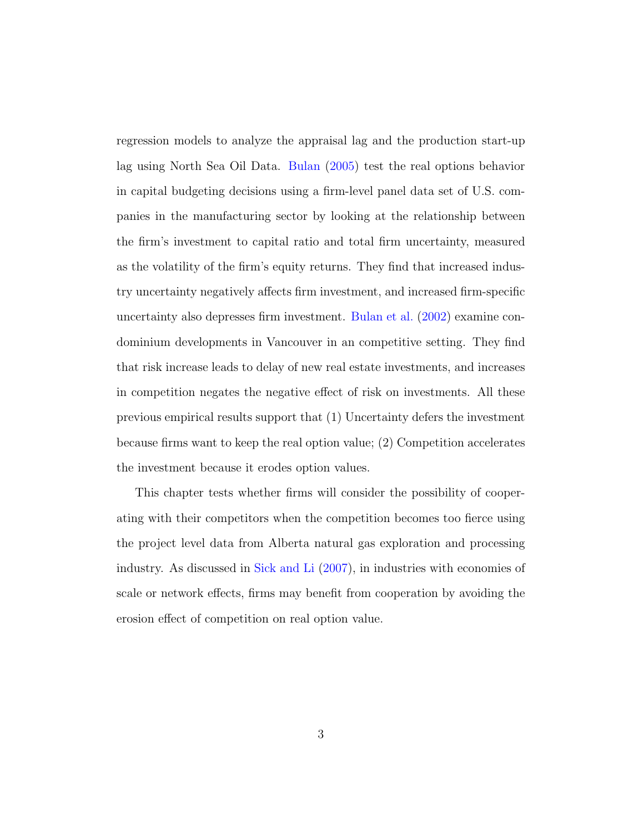regression models to analyze the appraisal lag and the production start-up lag using North Sea Oil Data. [Bulan](#page-26-5) [\(2005\)](#page-26-5) test the real options behavior in capital budgeting decisions using a firm-level panel data set of U.S. companies in the manufacturing sector by looking at the relationship between the firm's investment to capital ratio and total firm uncertainty, measured as the volatility of the firm's equity returns. They find that increased industry uncertainty negatively affects firm investment, and increased firm-specific uncertainty also depresses firm investment. [Bulan et al.](#page-26-6) [\(2002\)](#page-26-6) examine condominium developments in Vancouver in an competitive setting. They find that risk increase leads to delay of new real estate investments, and increases in competition negates the negative effect of risk on investments. All these previous empirical results support that (1) Uncertainty defers the investment because firms want to keep the real option value; (2) Competition accelerates the investment because it erodes option values.

This chapter tests whether firms will consider the possibility of cooperating with their competitors when the competition becomes too fierce using the project level data from Alberta natural gas exploration and processing industry. As discussed in [Sick and Li](#page-29-3) [\(2007\)](#page-29-3), in industries with economies of scale or network effects, firms may benefit from cooperation by avoiding the erosion effect of competition on real option value.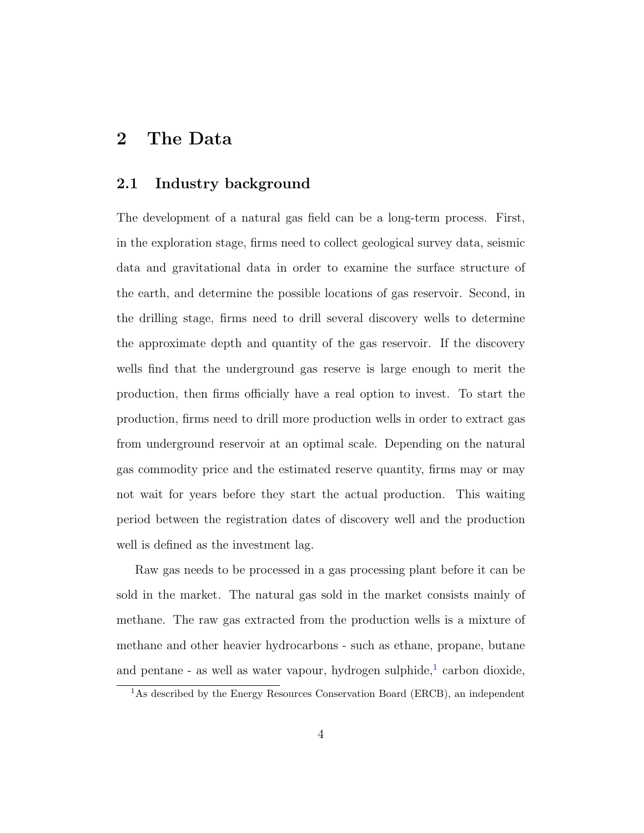### 2 The Data

#### 2.1 Industry background

The development of a natural gas field can be a long-term process. First, in the exploration stage, firms need to collect geological survey data, seismic data and gravitational data in order to examine the surface structure of the earth, and determine the possible locations of gas reservoir. Second, in the drilling stage, firms need to drill several discovery wells to determine the approximate depth and quantity of the gas reservoir. If the discovery wells find that the underground gas reserve is large enough to merit the production, then firms officially have a real option to invest. To start the production, firms need to drill more production wells in order to extract gas from underground reservoir at an optimal scale. Depending on the natural gas commodity price and the estimated reserve quantity, firms may or may not wait for years before they start the actual production. This waiting period between the registration dates of discovery well and the production well is defined as the investment lag.

Raw gas needs to be processed in a gas processing plant before it can be sold in the market. The natural gas sold in the market consists mainly of methane. The raw gas extracted from the production wells is a mixture of methane and other heavier hydrocarbons - such as ethane, propane, butane and pentane - as well as water vapour, hydrogen sulphide,<sup>[1](#page-3-0)</sup> carbon dioxide,

<span id="page-3-0"></span><sup>&</sup>lt;sup>1</sup>As described by the Energy Resources Conservation Board (ERCB), an independent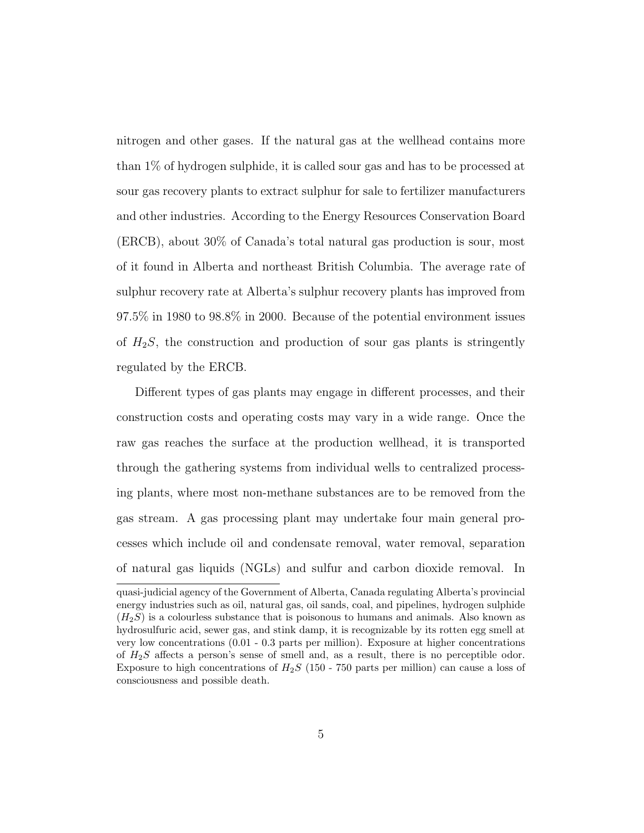nitrogen and other gases. If the natural gas at the wellhead contains more than 1% of hydrogen sulphide, it is called sour gas and has to be processed at sour gas recovery plants to extract sulphur for sale to fertilizer manufacturers and other industries. According to the Energy Resources Conservation Board (ERCB), about 30% of Canada's total natural gas production is sour, most of it found in Alberta and northeast British Columbia. The average rate of sulphur recovery rate at Alberta's sulphur recovery plants has improved from 97.5% in 1980 to 98.8% in 2000. Because of the potential environment issues of  $H_2S$ , the construction and production of sour gas plants is stringently regulated by the ERCB.

Different types of gas plants may engage in different processes, and their construction costs and operating costs may vary in a wide range. Once the raw gas reaches the surface at the production wellhead, it is transported through the gathering systems from individual wells to centralized processing plants, where most non-methane substances are to be removed from the gas stream. A gas processing plant may undertake four main general processes which include oil and condensate removal, water removal, separation of natural gas liquids (NGLs) and sulfur and carbon dioxide removal. In

quasi-judicial agency of the Government of Alberta, Canada regulating Alberta's provincial energy industries such as oil, natural gas, oil sands, coal, and pipelines, hydrogen sulphide  $(H_2S)$  is a colourless substance that is poisonous to humans and animals. Also known as hydrosulfuric acid, sewer gas, and stink damp, it is recognizable by its rotten egg smell at very low concentrations (0.01 - 0.3 parts per million). Exposure at higher concentrations of  $H_2S$  affects a person's sense of smell and, as a result, there is no perceptible odor. Exposure to high concentrations of  $H_2S$  (150 - 750 parts per million) can cause a loss of consciousness and possible death.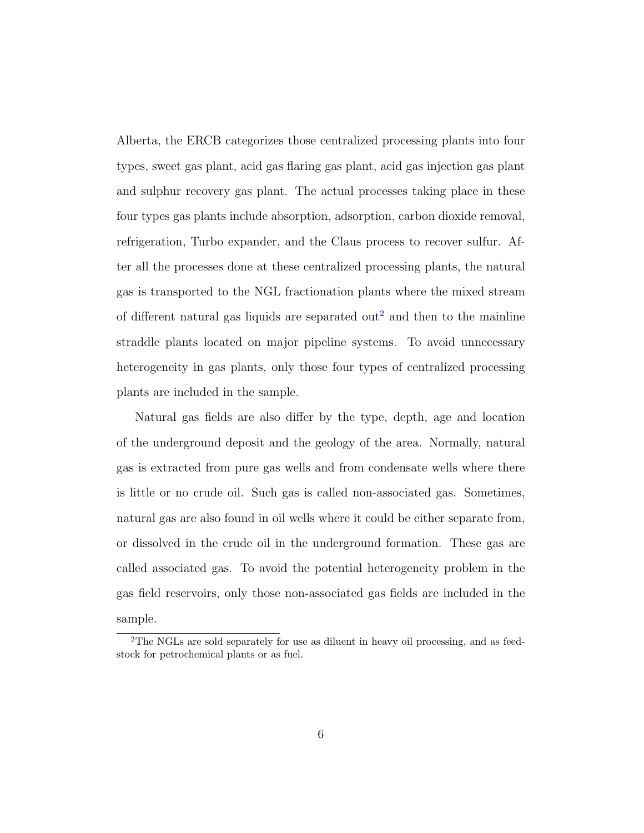Alberta, the ERCB categorizes those centralized processing plants into four types, sweet gas plant, acid gas flaring gas plant, acid gas injection gas plant and sulphur recovery gas plant. The actual processes taking place in these four types gas plants include absorption, adsorption, carbon dioxide removal, refrigeration, Turbo expander, and the Claus process to recover sulfur. After all the processes done at these centralized processing plants, the natural gas is transported to the NGL fractionation plants where the mixed stream of different natural gas liquids are separated out<sup>[2](#page-5-0)</sup> and then to the mainline straddle plants located on major pipeline systems. To avoid unnecessary heterogeneity in gas plants, only those four types of centralized processing plants are included in the sample.

Natural gas fields are also differ by the type, depth, age and location of the underground deposit and the geology of the area. Normally, natural gas is extracted from pure gas wells and from condensate wells where there is little or no crude oil. Such gas is called non-associated gas. Sometimes, natural gas are also found in oil wells where it could be either separate from, or dissolved in the crude oil in the underground formation. These gas are called associated gas. To avoid the potential heterogeneity problem in the gas field reservoirs, only those non-associated gas fields are included in the sample.

<span id="page-5-0"></span><sup>&</sup>lt;sup>2</sup>The NGLs are sold separately for use as diluent in heavy oil processing, and as feedstock for petrochemical plants or as fuel.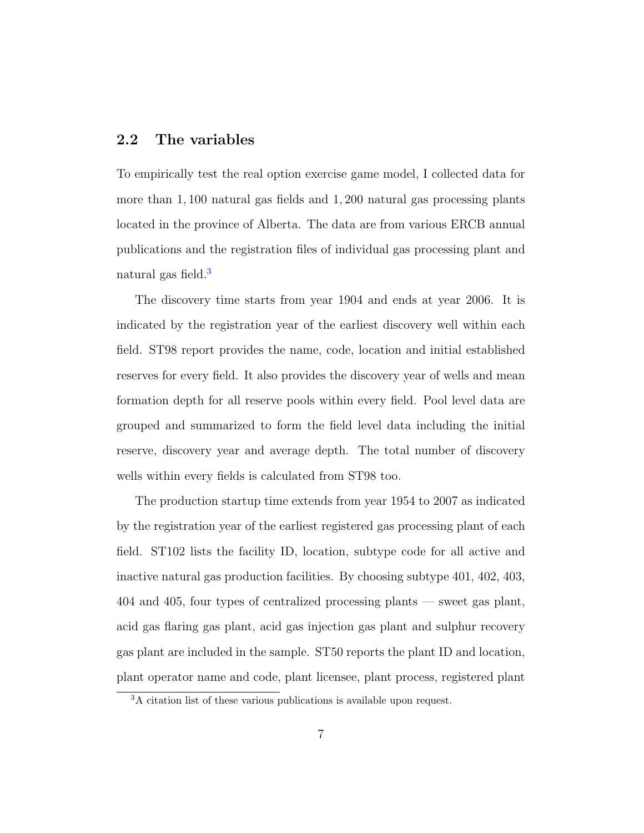#### 2.2 The variables

To empirically test the real option exercise game model, I collected data for more than 1, 100 natural gas fields and 1, 200 natural gas processing plants located in the province of Alberta. The data are from various ERCB annual publications and the registration files of individual gas processing plant and natural gas field.<sup>[3](#page-6-0)</sup>

The discovery time starts from year 1904 and ends at year 2006. It is indicated by the registration year of the earliest discovery well within each field. ST98 report provides the name, code, location and initial established reserves for every field. It also provides the discovery year of wells and mean formation depth for all reserve pools within every field. Pool level data are grouped and summarized to form the field level data including the initial reserve, discovery year and average depth. The total number of discovery wells within every fields is calculated from ST98 too.

The production startup time extends from year 1954 to 2007 as indicated by the registration year of the earliest registered gas processing plant of each field. ST102 lists the facility ID, location, subtype code for all active and inactive natural gas production facilities. By choosing subtype 401, 402, 403, 404 and 405, four types of centralized processing plants — sweet gas plant, acid gas flaring gas plant, acid gas injection gas plant and sulphur recovery gas plant are included in the sample. ST50 reports the plant ID and location, plant operator name and code, plant licensee, plant process, registered plant

<span id="page-6-0"></span><sup>3</sup>A citation list of these various publications is available upon request.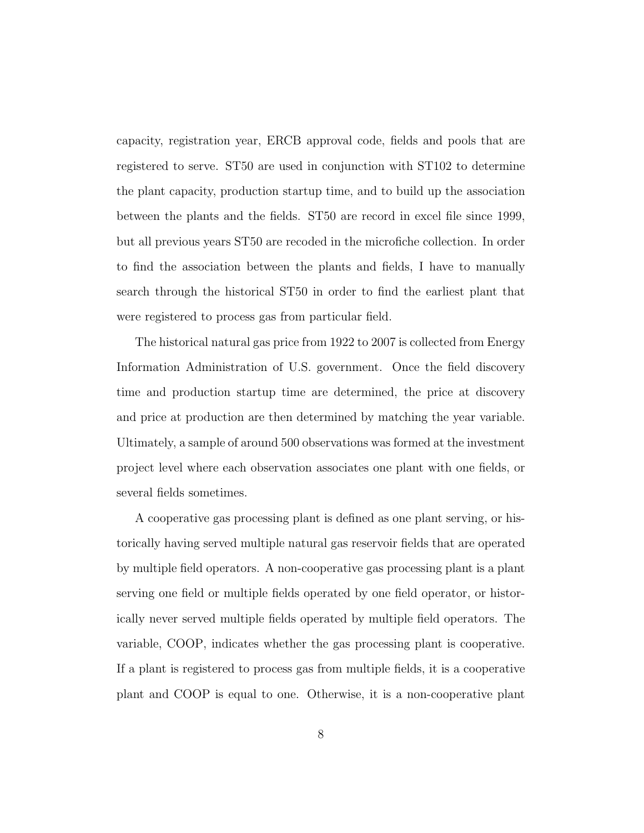capacity, registration year, ERCB approval code, fields and pools that are registered to serve. ST50 are used in conjunction with ST102 to determine the plant capacity, production startup time, and to build up the association between the plants and the fields. ST50 are record in excel file since 1999, but all previous years ST50 are recoded in the microfiche collection. In order to find the association between the plants and fields, I have to manually search through the historical ST50 in order to find the earliest plant that were registered to process gas from particular field.

The historical natural gas price from 1922 to 2007 is collected from Energy Information Administration of U.S. government. Once the field discovery time and production startup time are determined, the price at discovery and price at production are then determined by matching the year variable. Ultimately, a sample of around 500 observations was formed at the investment project level where each observation associates one plant with one fields, or several fields sometimes.

A cooperative gas processing plant is defined as one plant serving, or historically having served multiple natural gas reservoir fields that are operated by multiple field operators. A non-cooperative gas processing plant is a plant serving one field or multiple fields operated by one field operator, or historically never served multiple fields operated by multiple field operators. The variable, COOP, indicates whether the gas processing plant is cooperative. If a plant is registered to process gas from multiple fields, it is a cooperative plant and COOP is equal to one. Otherwise, it is a non-cooperative plant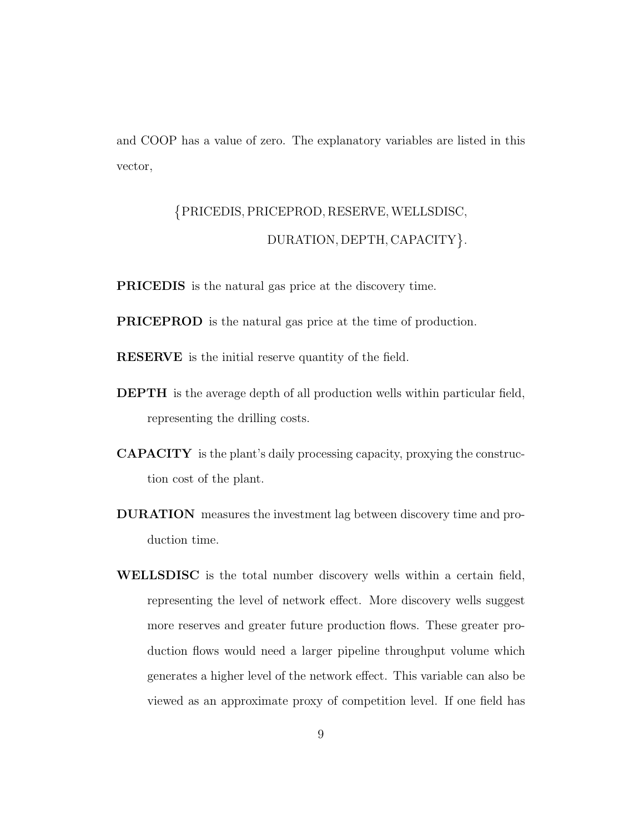and COOP has a value of zero. The explanatory variables are listed in this vector,

## PRICEDIS, PRICEPROD, RESERVE,WELLSDISC, DURATION, DEPTH, CAPACITY }.

PRICEDIS is the natural gas price at the discovery time.

PRICEPROD is the natural gas price at the time of production.

RESERVE is the initial reserve quantity of the field.

- DEPTH is the average depth of all production wells within particular field, representing the drilling costs.
- CAPACITY is the plant's daily processing capacity, proxying the construction cost of the plant.
- DURATION measures the investment lag between discovery time and production time.
- WELLSDISC is the total number discovery wells within a certain field, representing the level of network effect. More discovery wells suggest more reserves and greater future production flows. These greater production flows would need a larger pipeline throughput volume which generates a higher level of the network effect. This variable can also be viewed as an approximate proxy of competition level. If one field has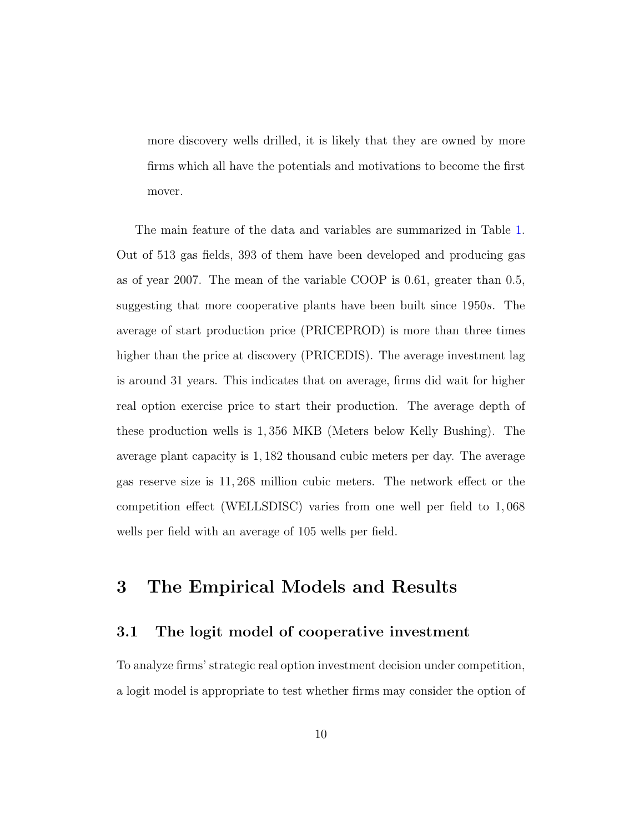more discovery wells drilled, it is likely that they are owned by more firms which all have the potentials and motivations to become the first mover.

The main feature of the data and variables are summarized in Table [1.](#page-10-0) Out of 513 gas fields, 393 of them have been developed and producing gas as of year 2007. The mean of the variable COOP is 0.61, greater than 0.5, suggesting that more cooperative plants have been built since 1950s. The average of start production price (PRICEPROD) is more than three times higher than the price at discovery (PRICEDIS). The average investment lag is around 31 years. This indicates that on average, firms did wait for higher real option exercise price to start their production. The average depth of these production wells is 1, 356 MKB (Meters below Kelly Bushing). The average plant capacity is 1, 182 thousand cubic meters per day. The average gas reserve size is 11, 268 million cubic meters. The network effect or the competition effect (WELLSDISC) varies from one well per field to 1, 068 wells per field with an average of 105 wells per field.

### 3 The Empirical Models and Results

#### 3.1 The logit model of cooperative investment

To analyze firms' strategic real option investment decision under competition, a logit model is appropriate to test whether firms may consider the option of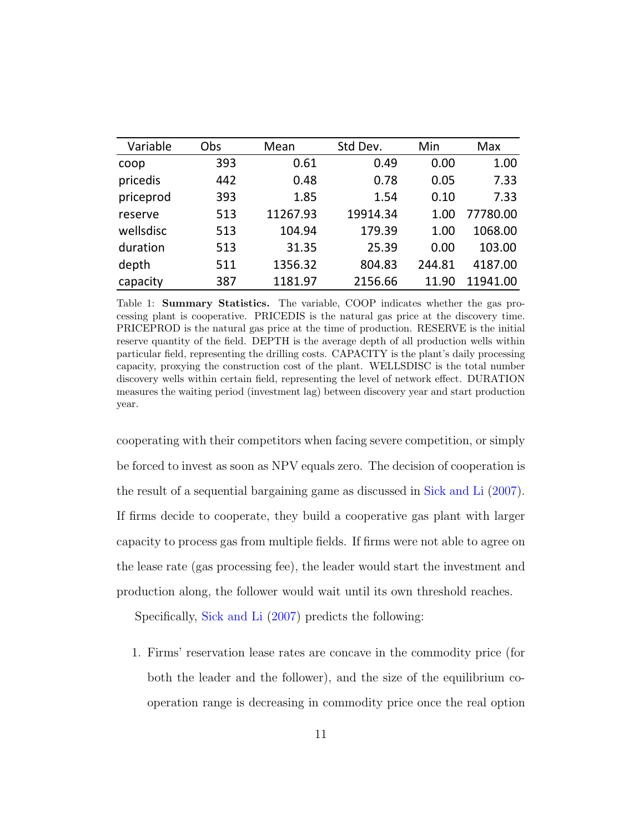<span id="page-10-0"></span>

| Variable  | Obs | Mean     | Std Dev. | Min    | Max      |
|-----------|-----|----------|----------|--------|----------|
| coop      | 393 | 0.61     | 0.49     | 0.00   | 1.00     |
| pricedis  | 442 | 0.48     | 0.78     | 0.05   | 7.33     |
| priceprod | 393 | 1.85     | 1.54     | 0.10   | 7.33     |
| reserve   | 513 | 11267.93 | 19914.34 | 1.00   | 77780.00 |
| wellsdisc | 513 | 104.94   | 179.39   | 1.00   | 1068.00  |
| duration  | 513 | 31.35    | 25.39    | 0.00   | 103.00   |
| depth     | 511 | 1356.32  | 804.83   | 244.81 | 4187.00  |
| capacity  | 387 | 1181.97  | 2156.66  | 11.90  | 11941.00 |

Table 1: Summary Statistics. The variable, COOP indicates whether the gas processing plant is cooperative. PRICEDIS is the natural gas price at the discovery time. PRICEPROD is the natural gas price at the time of production. RESERVE is the initial reserve quantity of the field. DEPTH is the average depth of all production wells within particular field, representing the drilling costs. CAPACITY is the plant's daily processing capacity, proxying the construction cost of the plant. WELLSDISC is the total number discovery wells within certain field, representing the level of network effect. DURATION measures the waiting period (investment lag) between discovery year and start production year.

cooperating with their competitors when facing severe competition, or simply be forced to invest as soon as NPV equals zero. The decision of cooperation is the result of a sequential bargaining game as discussed in [Sick and Li](#page-29-3) [\(2007\)](#page-29-3). If firms decide to cooperate, they build a cooperative gas plant with larger capacity to process gas from multiple fields. If firms were not able to agree on the lease rate (gas processing fee), the leader would start the investment and production along, the follower would wait until its own threshold reaches.

Specifically, [Sick and Li](#page-29-3) [\(2007\)](#page-29-3) predicts the following:

1. Firms' reservation lease rates are concave in the commodity price (for both the leader and the follower), and the size of the equilibrium cooperation range is decreasing in commodity price once the real option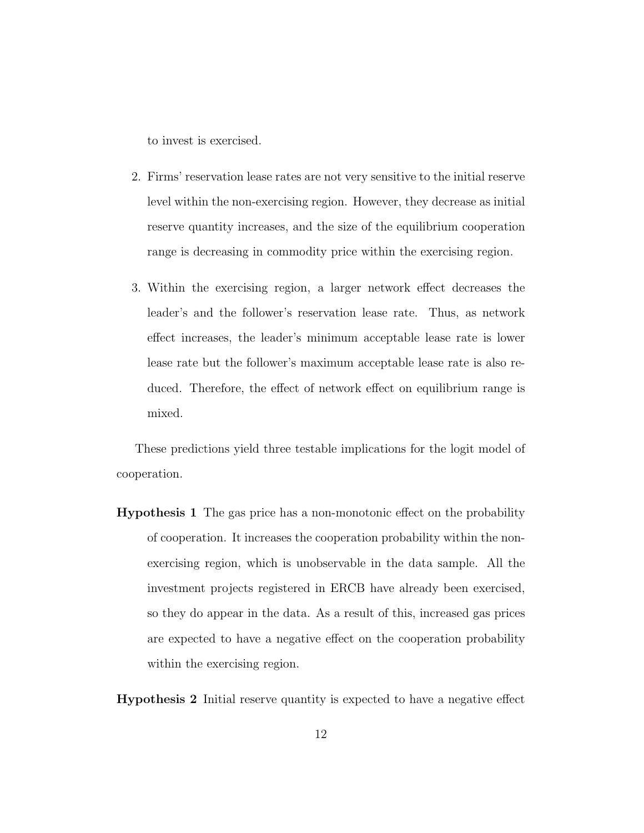to invest is exercised.

- 2. Firms' reservation lease rates are not very sensitive to the initial reserve level within the non-exercising region. However, they decrease as initial reserve quantity increases, and the size of the equilibrium cooperation range is decreasing in commodity price within the exercising region.
- 3. Within the exercising region, a larger network effect decreases the leader's and the follower's reservation lease rate. Thus, as network effect increases, the leader's minimum acceptable lease rate is lower lease rate but the follower's maximum acceptable lease rate is also reduced. Therefore, the effect of network effect on equilibrium range is mixed.

These predictions yield three testable implications for the logit model of cooperation.

Hypothesis 1 The gas price has a non-monotonic effect on the probability of cooperation. It increases the cooperation probability within the nonexercising region, which is unobservable in the data sample. All the investment projects registered in ERCB have already been exercised, so they do appear in the data. As a result of this, increased gas prices are expected to have a negative effect on the cooperation probability within the exercising region.

Hypothesis 2 Initial reserve quantity is expected to have a negative effect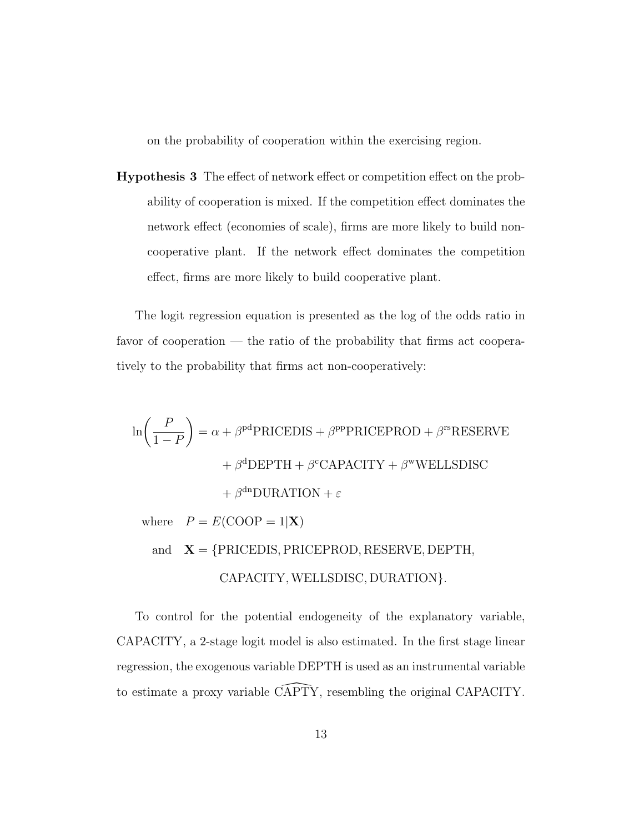on the probability of cooperation within the exercising region.

Hypothesis 3 The effect of network effect or competition effect on the probability of cooperation is mixed. If the competition effect dominates the network effect (economies of scale), firms are more likely to build noncooperative plant. If the network effect dominates the competition effect, firms are more likely to build cooperative plant.

The logit regression equation is presented as the log of the odds ratio in favor of cooperation — the ratio of the probability that firms act cooperatively to the probability that firms act non-cooperatively:

$$
\ln\left(\frac{P}{1-P}\right) = \alpha + \beta^{pd}
$$
PRICEDIS +  $\beta^{pp}$ PRICEPROD +  $\beta^{rs}$ RESERVE  
+  $\beta^{d}$ DEPTH +  $\beta^{c}$ CAPACITY +  $\beta^{w}$  WELLSDISC  
+  $\beta^{dn}$  DURATION +  $\varepsilon$   
where  $P = E$ (COOP = 1|X)  
and  $\mathbf{X} = \{PRICEDIS, PRICEPROD, RESERVE, DEPTH,CAPACITY, WELLSDISC, DURATION\}.$ 

To control for the potential endogeneity of the explanatory variable, CAPACITY, a 2-stage logit model is also estimated. In the first stage linear regression, the exogenous variable DEPTH is used as an instrumental variable to estimate a proxy variable CAPTY, resembling the original CAPACITY.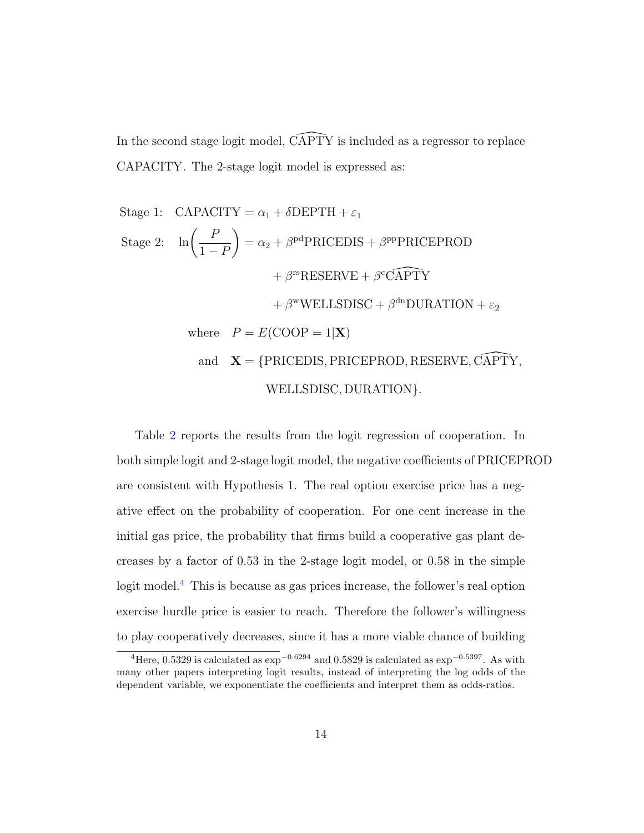In the second stage logit model,  $\widehat{CAPTY}$  is included as a regressor to replace CAPACITY. The 2-stage logit model is expressed as:

Stage 1: CAPACITY = 
$$
\alpha_1 + \delta
$$
DEPTH +  $\varepsilon_1$   
\nStage 2:  $\ln\left(\frac{P}{1-P}\right) = \alpha_2 + \beta^{pd}$ PRICEDIS +  $\beta^{pp}$ PRICEPROD  
\n $+ \beta^{rs}$ RESERVE +  $\beta^{c}$ CAPTY  
\n $+ \beta^{w}$ WELLSDISC +  $\beta^{dn}$ DURATION +  $\varepsilon_2$   
\nwhere  $P = E$ (COOP = 1|X)  
\nand  $X = \{PRICEDIS, PRICEPROD, RESERVE, CAPTY,$   
\nWELLSDISC, DURATION}.

Table [2](#page-14-0) reports the results from the logit regression of cooperation. In both simple logit and 2-stage logit model, the negative coefficients of PRICEPROD are consistent with Hypothesis 1. The real option exercise price has a negative effect on the probability of cooperation. For one cent increase in the initial gas price, the probability that firms build a cooperative gas plant decreases by a factor of 0.53 in the 2-stage logit model, or 0.58 in the simple logit model.<sup>[4](#page-13-0)</sup> This is because as gas prices increase, the follower's real option exercise hurdle price is easier to reach. Therefore the follower's willingness to play cooperatively decreases, since it has a more viable chance of building

<span id="page-13-0"></span><sup>&</sup>lt;sup>4</sup>Here, 0.5329 is calculated as  $\exp^{-0.6294}$  and 0.5829 is calculated as  $\exp^{-0.5397}$ . As with many other papers interpreting logit results, instead of interpreting the log odds of the dependent variable, we exponentiate the coefficients and interpret them as odds-ratios.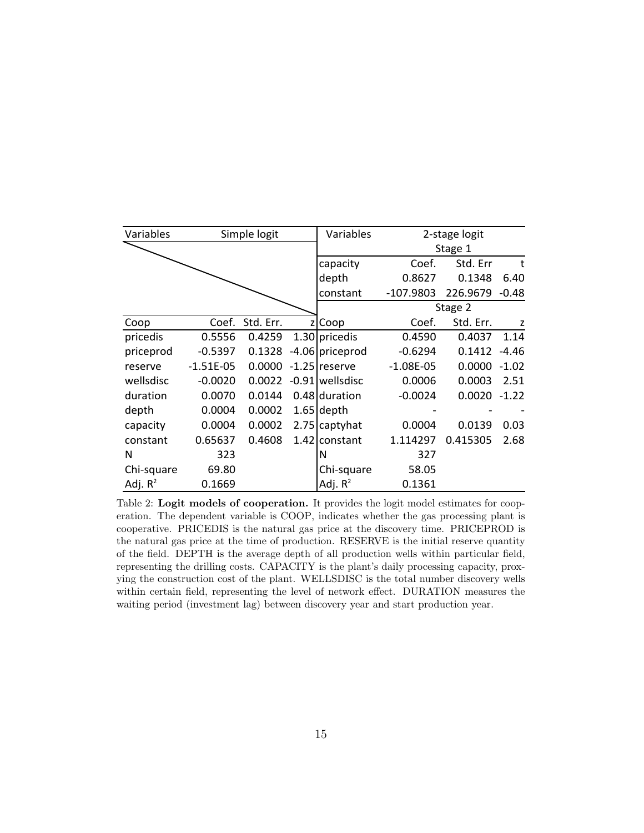<span id="page-14-0"></span>

| Variables  |             | Simple logit |   | Variables       |             | 2-stage logit  |         |
|------------|-------------|--------------|---|-----------------|-------------|----------------|---------|
|            |             |              |   |                 |             | Stage 1        |         |
|            |             |              |   | capacity        | Coef.       | Std. Err       | t       |
|            |             |              |   | depth           | 0.8627      | 0.1348         | 6.40    |
|            |             |              |   | constant        | $-107.9803$ | 226.9679       | -0.48   |
|            |             |              |   |                 |             | Stage 2        |         |
| Coop       | Coef.       | Std. Err.    | z | Coop            | Coef.       | Std. Err.      | z       |
| pricedis   | 0.5556      | 0.4259       |   | 1.30 pricedis   | 0.4590      | 0.4037         | 1.14    |
| priceprod  | $-0.5397$   | 0.1328       |   | -4.06 priceprod | $-0.6294$   | 0.1412         | $-4.46$ |
| reserve    | $-1.51E-05$ | 0.0000       |   | $-1.25$ reserve | $-1.08E-05$ | 0.0000         | $-1.02$ |
| wellsdisc  | $-0.0020$   | 0.0022       |   | -0.91 wellsdisc | 0.0006      | 0.0003         | 2.51    |
| duration   | 0.0070      | 0.0144       |   | 0.48 duration   | $-0.0024$   | $0.0020 -1.22$ |         |
| depth      | 0.0004      | 0.0002       |   | $1.65$ depth    |             |                |         |
| capacity   | 0.0004      | 0.0002       |   | 2.75 captyhat   | 0.0004      | 0.0139         | 0.03    |
| constant   | 0.65637     | 0.4608       |   | 1.42 constant   | 1.114297    | 0.415305       | 2.68    |
| N          | 323         |              |   | N               | 327         |                |         |
| Chi-square | 69.80       |              |   | Chi-square      | 58.05       |                |         |
| Adj. $R^2$ | 0.1669      |              |   | Adj. $R^2$      | 0.1361      |                |         |

Table 2: Logit models of cooperation. It provides the logit model estimates for cooperation. The dependent variable is COOP, indicates whether the gas processing plant is cooperative. PRICEDIS is the natural gas price at the discovery time. PRICEPROD is the natural gas price at the time of production. RESERVE is the initial reserve quantity of the field. DEPTH is the average depth of all production wells within particular field, representing the drilling costs. CAPACITY is the plant's daily processing capacity, proxying the construction cost of the plant. WELLSDISC is the total number discovery wells within certain field, representing the level of network effect. DURATION measures the waiting period (investment lag) between discovery year and start production year.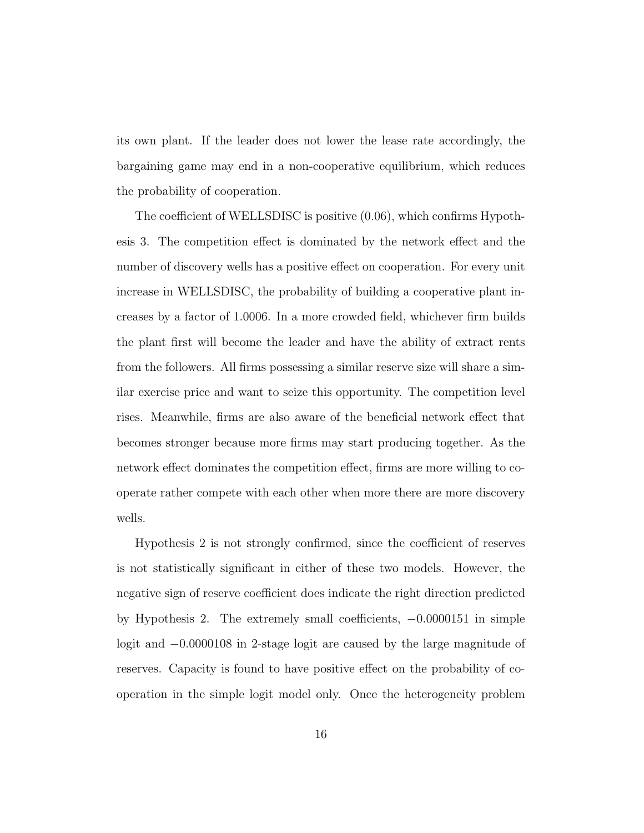its own plant. If the leader does not lower the lease rate accordingly, the bargaining game may end in a non-cooperative equilibrium, which reduces the probability of cooperation.

The coefficient of WELLSDISC is positive (0.06), which confirms Hypothesis 3. The competition effect is dominated by the network effect and the number of discovery wells has a positive effect on cooperation. For every unit increase in WELLSDISC, the probability of building a cooperative plant increases by a factor of 1.0006. In a more crowded field, whichever firm builds the plant first will become the leader and have the ability of extract rents from the followers. All firms possessing a similar reserve size will share a similar exercise price and want to seize this opportunity. The competition level rises. Meanwhile, firms are also aware of the beneficial network effect that becomes stronger because more firms may start producing together. As the network effect dominates the competition effect, firms are more willing to cooperate rather compete with each other when more there are more discovery wells.

Hypothesis 2 is not strongly confirmed, since the coefficient of reserves is not statistically significant in either of these two models. However, the negative sign of reserve coefficient does indicate the right direction predicted by Hypothesis 2. The extremely small coefficients, −0.0000151 in simple logit and −0.0000108 in 2-stage logit are caused by the large magnitude of reserves. Capacity is found to have positive effect on the probability of cooperation in the simple logit model only. Once the heterogeneity problem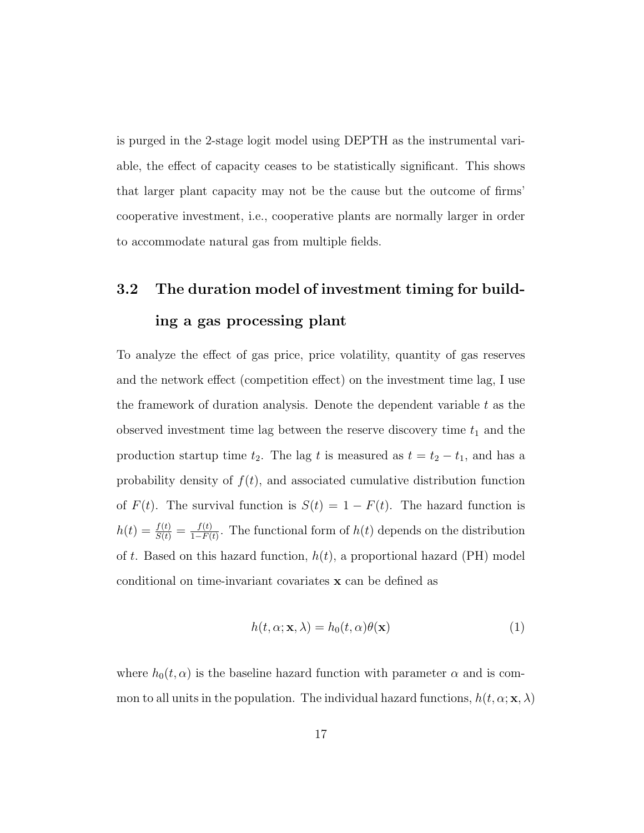is purged in the 2-stage logit model using DEPTH as the instrumental variable, the effect of capacity ceases to be statistically significant. This shows that larger plant capacity may not be the cause but the outcome of firms' cooperative investment, i.e., cooperative plants are normally larger in order to accommodate natural gas from multiple fields.

# 3.2 The duration model of investment timing for building a gas processing plant

To analyze the effect of gas price, price volatility, quantity of gas reserves and the network effect (competition effect) on the investment time lag, I use the framework of duration analysis. Denote the dependent variable  $t$  as the observed investment time lag between the reserve discovery time  $t_1$  and the production startup time  $t_2$ . The lag t is measured as  $t = t_2 - t_1$ , and has a probability density of  $f(t)$ , and associated cumulative distribution function of  $F(t)$ . The survival function is  $S(t) = 1 - F(t)$ . The hazard function is  $h(t) = \frac{f(t)}{S(t)} = \frac{f(t)}{1-F(t)}$  $\frac{f(t)}{1-F(t)}$ . The functional form of  $h(t)$  depends on the distribution of t. Based on this hazard function,  $h(t)$ , a proportional hazard (PH) model conditional on time-invariant covariates x can be defined as

$$
h(t, \alpha; \mathbf{x}, \lambda) = h_0(t, \alpha) \theta(\mathbf{x})
$$
\n(1)

where  $h_0(t, \alpha)$  is the baseline hazard function with parameter  $\alpha$  and is common to all units in the population. The individual hazard functions,  $h(t, \alpha; \mathbf{x}, \lambda)$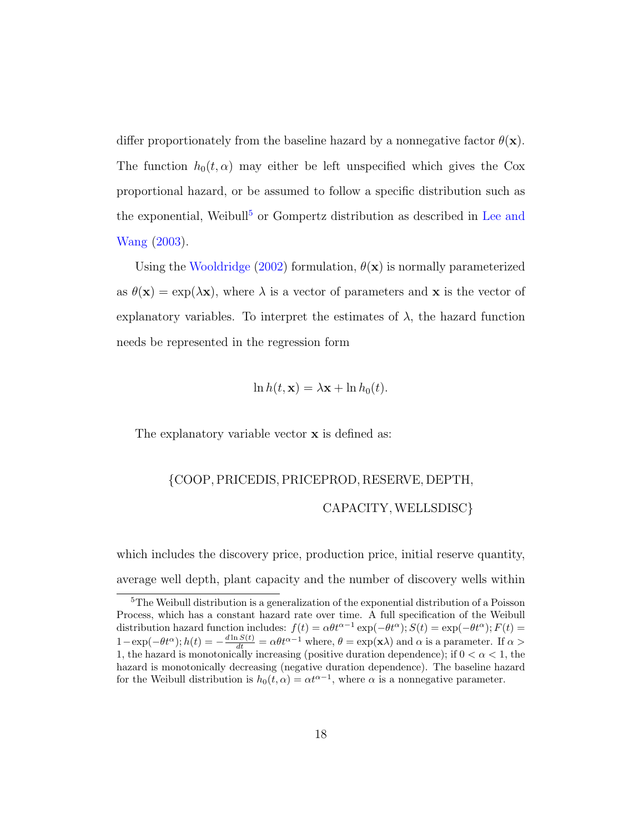differ proportionately from the baseline hazard by a nonnegative factor  $\theta(\mathbf{x})$ . The function  $h_0(t, \alpha)$  may either be left unspecified which gives the Cox proportional hazard, or be assumed to follow a specific distribution such as the exponential, Weibull<sup>[5](#page-17-0)</sup> or Gompertz distribution as described in [Lee and](#page-28-5) [Wang](#page-28-5) [\(2003\)](#page-28-5).

Using the [Wooldridge](#page-29-4) [\(2002\)](#page-29-4) formulation,  $\theta(\mathbf{x})$  is normally parameterized as  $\theta(\mathbf{x}) = \exp(\lambda \mathbf{x})$ , where  $\lambda$  is a vector of parameters and  $\mathbf{x}$  is the vector of explanatory variables. To interpret the estimates of  $\lambda$ , the hazard function needs be represented in the regression form

$$
\ln h(t, \mathbf{x}) = \lambda \mathbf{x} + \ln h_0(t).
$$

The explanatory variable vector  $x$  is defined as:

## {COOP, PRICEDIS, PRICEPROD, RESERVE, DEPTH, CAPACITY, WELLSDISC}

which includes the discovery price, production price, initial reserve quantity, average well depth, plant capacity and the number of discovery wells within

<span id="page-17-0"></span><sup>5</sup>The Weibull distribution is a generalization of the exponential distribution of a Poisson Process, which has a constant hazard rate over time. A full specification of the Weibull distribution hazard function includes:  $f(t) = \alpha \theta t^{\alpha-1} \exp(-\theta t^{\alpha}); S(t) = \exp(-\theta t^{\alpha}); F(t) =$  $1-\exp(-\theta t^{\alpha}); h(t) = -\frac{d\ln S(t)}{dt} = \alpha \theta t^{\alpha-1}$  where,  $\theta = \exp(\mathbf{x}\lambda)$  and  $\alpha$  is a parameter. If  $\alpha >$ 1, the hazard is monotonically increasing (positive duration dependence); if  $0 < \alpha < 1$ , the hazard is monotonically decreasing (negative duration dependence). The baseline hazard for the Weibull distribution is  $h_0(t, \alpha) = \alpha t^{\alpha-1}$ , where  $\alpha$  is a nonnegative parameter.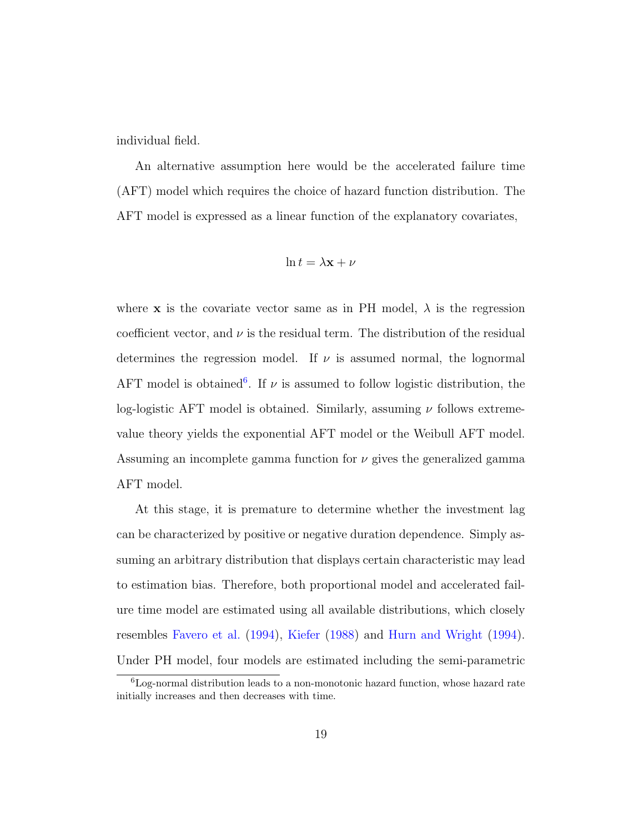individual field.

An alternative assumption here would be the accelerated failure time (AFT) model which requires the choice of hazard function distribution. The AFT model is expressed as a linear function of the explanatory covariates,

$$
\ln t = \lambda \mathbf{x} + \nu
$$

where **x** is the covariate vector same as in PH model,  $\lambda$  is the regression coefficient vector, and  $\nu$  is the residual term. The distribution of the residual determines the regression model. If  $\nu$  is assumed normal, the lognormal AFT model is obtained<sup>[6](#page-18-0)</sup>. If  $\nu$  is assumed to follow logistic distribution, the log-logistic AFT model is obtained. Similarly, assuming  $\nu$  follows extremevalue theory yields the exponential AFT model or the Weibull AFT model. Assuming an incomplete gamma function for  $\nu$  gives the generalized gamma AFT model.

At this stage, it is premature to determine whether the investment lag can be characterized by positive or negative duration dependence. Simply assuming an arbitrary distribution that displays certain characteristic may lead to estimation bias. Therefore, both proportional model and accelerated failure time model are estimated using all available distributions, which closely resembles [Favero et al.](#page-27-5) [\(1994\)](#page-27-5), [Kiefer](#page-27-7) [\(1988\)](#page-27-7) and [Hurn and Wright](#page-27-6) [\(1994\)](#page-27-6). Under PH model, four models are estimated including the semi-parametric

<span id="page-18-0"></span> ${}^{6}$ Log-normal distribution leads to a non-monotonic hazard function, whose hazard rate initially increases and then decreases with time.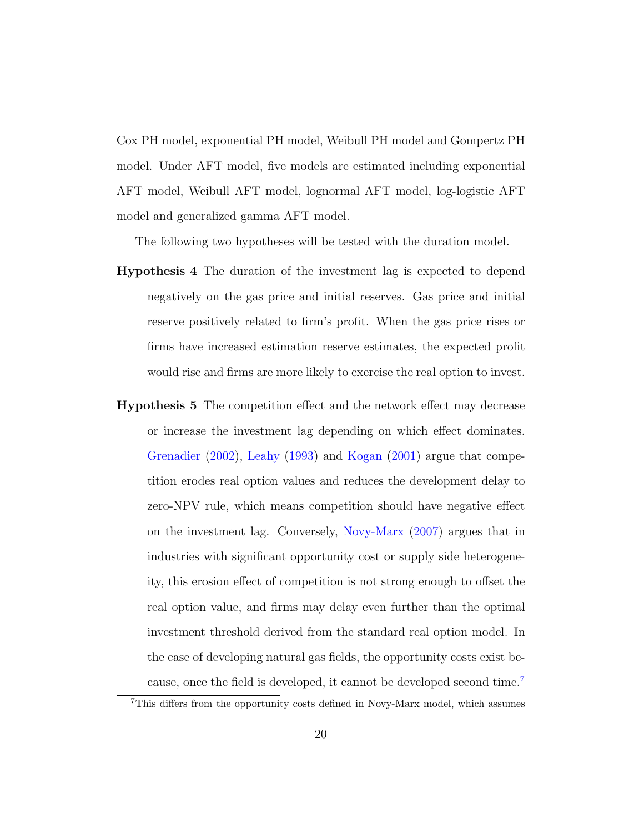Cox PH model, exponential PH model, Weibull PH model and Gompertz PH model. Under AFT model, five models are estimated including exponential AFT model, Weibull AFT model, lognormal AFT model, log-logistic AFT model and generalized gamma AFT model.

The following two hypotheses will be tested with the duration model.

- Hypothesis 4 The duration of the investment lag is expected to depend negatively on the gas price and initial reserves. Gas price and initial reserve positively related to firm's profit. When the gas price rises or firms have increased estimation reserve estimates, the expected profit would rise and firms are more likely to exercise the real option to invest.
- Hypothesis 5 The competition effect and the network effect may decrease or increase the investment lag depending on which effect dominates. [Grenadier](#page-27-2) [\(2002\)](#page-27-2), [Leahy](#page-28-6) [\(1993\)](#page-28-6) and [Kogan](#page-28-7) [\(2001\)](#page-28-7) argue that competition erodes real option values and reduces the development delay to zero-NPV rule, which means competition should have negative effect on the investment lag. Conversely, [Novy-Marx](#page-28-4) [\(2007\)](#page-28-4) argues that in industries with significant opportunity cost or supply side heterogeneity, this erosion effect of competition is not strong enough to offset the real option value, and firms may delay even further than the optimal investment threshold derived from the standard real option model. In the case of developing natural gas fields, the opportunity costs exist because, once the field is developed, it cannot be developed second time.[7](#page-19-0)

<span id="page-19-0"></span><sup>7</sup>This differs from the opportunity costs defined in Novy-Marx model, which assumes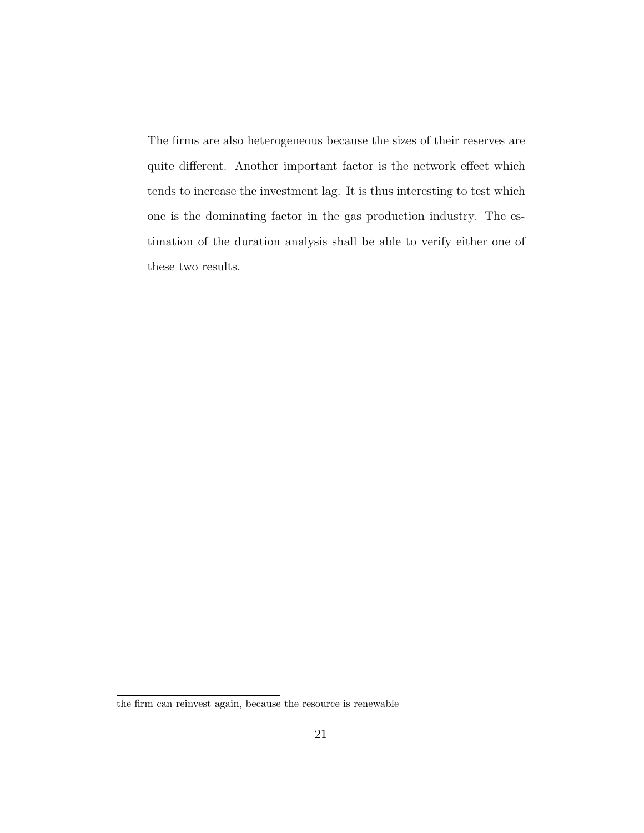The firms are also heterogeneous because the sizes of their reserves are quite different. Another important factor is the network effect which tends to increase the investment lag. It is thus interesting to test which one is the dominating factor in the gas production industry. The estimation of the duration analysis shall be able to verify either one of these two results.

the firm can reinvest again, because the resource is renewable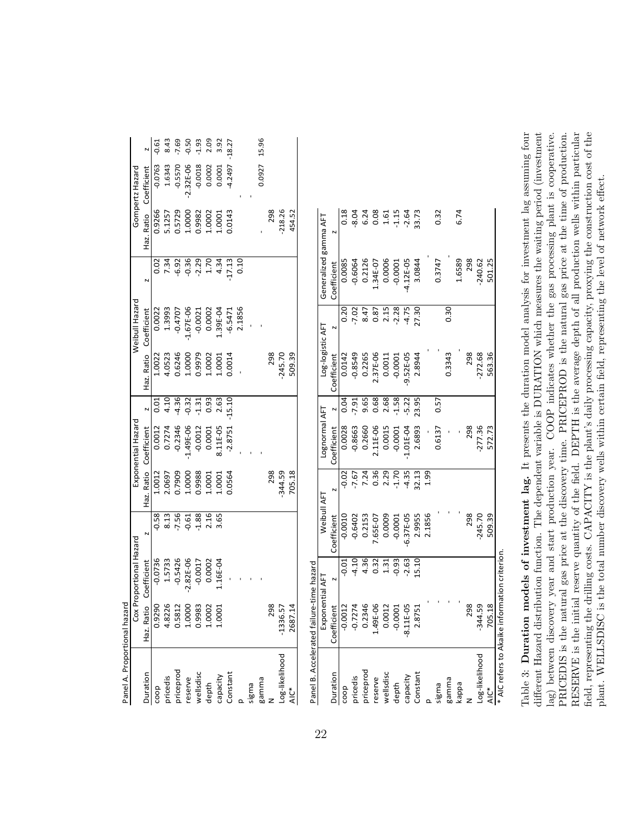<span id="page-21-0"></span>

| Panel A. Proportional hazar                  |               |                     |               |            |                    |               |                  |                |                       |                |                 |          |
|----------------------------------------------|---------------|---------------------|---------------|------------|--------------------|---------------|------------------|----------------|-----------------------|----------------|-----------------|----------|
|                                              | Cox           | Proportional Hazard |               |            | Exponential Hazard |               |                  | Weibull Hazard |                       |                | Gompertz Hazard |          |
| Duration                                     | Haz. Ratio    | Coefficient         | N             | Haz. Ratio | Coefficient        | N             | Haz. Ratio       | Coefficient    | N                     | Haz. Ratio     | Coefficient     | N        |
| coop                                         | 0.9290        | $-0.0736$           | $-0.58$       | 1.0012     | 0.0012             | 5.<br>0.<br>0 | 1.0022           | 0.0022         | 0.02                  | 0.9266         | $-0.0763$       | $-0.61$  |
| pricedis                                     | 4.8226        | 1.5733              | 8.13          | 2.0697     | 0.7274             | 4.10          | 4.0523           | 1.3993         | 7.34                  | 5.1257         | 1.6343          | 8.43     |
| priceprod                                    | 0.5812        | $-0.5426$           | $-7.56$       | 0.7909     | $-0.2346$          | $-4.36$       | 0.6246           | $-0.4707$      | $-6.92$               | 0.5729         | $-0.5570$       | $-7.69$  |
| reserve                                      | 1.0000        | $-2.82E - 06$       | $-0.61$       | 1.0000     | $-1.49E - 06$      | $-0.32$       | 1.0000           | $-1.67E - 06$  | $-0.36$               | 1.0000         | $-2.32E - 06$   | $-0.50$  |
| wellsdisc                                    | 0.9983        | $-0.0017$           | $-1.88$       | 0.9988     | $-0.0012$          | $-1.31$       | 0.9979           | $-0.0021$      | $-2.29$               | 0.9982         | $-0.0018$       | $-1.93$  |
| depth                                        | 1.0002        | 0.0002              | 2.16          | 1.0001     | 0.0001             | 0.93          | 1.0002           | 0.0002         | 1.70                  | 1.0002         | 0.0002          | 2.09     |
| capacity                                     | 1.0001        | 1.16E-04            | 3.65          | 1.0001     | 8.11E-05           | 2.63          | 1.0001           | 1.39E-04       | 4.34                  | 1.0001         | 0.0001          | 3.92     |
| Constant                                     |               |                     |               | 0.0564     | $-2.8751$          | $-15.10$      | 0.0014           | $-6.5471$      | $-17.13$              | 0.0143         | -4.2497         | $-18.27$ |
| $\Omega$                                     |               |                     |               |            |                    |               |                  | 2.1856         | 0.10                  |                |                 |          |
| sigma                                        |               |                     |               |            |                    |               |                  |                |                       |                |                 |          |
| gamma                                        |               |                     |               |            |                    |               |                  |                |                       |                | 0.0927          | 15.96    |
| Z                                            | 298           |                     |               | 298        |                    |               | 298              |                |                       | 298            |                 |          |
| Log-likelihood                               | $-1336.5$     |                     |               | 344.59     |                    |               | $-245.70$        |                |                       | $-218.26$      |                 |          |
| AIC*                                         | 2687.14       |                     |               | 705.18     |                    |               | 509.39           |                |                       | 454.52         |                 |          |
| Panel B. Accelerated failure-time hazard     |               |                     |               |            |                    |               |                  |                |                       |                |                 |          |
|                                              | Expone        | ential AFT          | Weibull AFT   |            | Lognormal AFT      |               | Log-logistic AFT |                | Generalized gamma AFT |                |                 |          |
| Duration                                     | Coefficient   | N                   | Coefficient   |            | Coefficient        | N             | Coefficient      | N              | Coefficient           | $\overline{a}$ |                 |          |
| coop                                         | $-0.0012$     | $-0.01$             | $-0.0010$     | $-0.02$    | 0.0028             | 0.04          | 0.0142           | 0.20           | 0.0085                | 0.18           |                 |          |
| pricedis                                     | $-0.7274$     | $-4.10$             | $-0.6402$     | $-7.67$    | $-0.8663$          | $-7.91$       | $-0.8549$        | $-7.02$        | $-0.6064$             | $-8.04$        |                 |          |
| priceprod                                    | 0.2346        | 4.36                | 0.2153        | 7.24       | 0.2660             | 9.65          | 0.2265           | 8.47           | 0.2126                | 6.24           |                 |          |
| reserve                                      | 1.49E-06      | 0.32                | 7.65E-07      | 0.36       | 2.11E-06           | 0.68          | 2.37E-06         | 0.87           | 1.34E-07              | 0.08           |                 |          |
| wellsdisc                                    | 0.0012        | 1.31                | 0.0009        | 2.29       | 0.0015             | 2.68          | 0.0011           | 2.15           | 0.0006                | 1.61           |                 |          |
| depth                                        | $-0.0001$     | $-0.93$             | $-0.0001$     | $-1.70$    | $-0.0001$          | $-1.58$       | $-0.0001$        | $-2.28$        | $-0.0001$             | $-1.15$        |                 |          |
| capacity                                     | $-8.11E - 05$ | $-2.63$             | $-6.37E - 05$ | $-4.35$    | $-1.01E - 04$      | $-5.22$       | 9.52E-05         | $-4.75$        | $-4.12E - 05$         | $-2.64$        |                 |          |
| Constant                                     | 2.8751        | 15.10               | 2.9955        | 32.13      | 2.6893             | 23.95         | 2.8944           | 27.30          | 3.0844                | 33.73          |                 |          |
| $\Omega$                                     |               |                     | 2.1856        | 1.99       |                    |               |                  |                |                       |                |                 |          |
| sigma                                        |               |                     |               |            | 0.6137             | 0.57          |                  |                | 0.3747                | 0.32           |                 |          |
| gamma                                        |               |                     |               |            |                    |               | 0.3343           | 0.30           |                       |                |                 |          |
| kappa                                        |               |                     |               |            |                    |               |                  |                | 1.6589                | 6.74           |                 |          |
| z                                            | 298           |                     | 298           |            | 298                |               | 298              |                | 298                   |                |                 |          |
| Log-likelihood                               | $-344.59$     |                     | $-245.70$     |            | $-277.36$          |               | $-272.68$        |                | $-240.62$             |                |                 |          |
| AIC <sup>*</sup>                             | 705.18        |                     | 509.39        |            | 572.73             |               | 563.36           |                | 501.25                |                |                 |          |
| * AIC refers to Akaike information criterion |               |                     |               |            |                    |               |                  |                |                       |                |                 |          |

Table 3: Duration models of investment lag. It presents the duration model analysis for investment lag assuming four different Hazard distribution function. The dependent variable is DURATION which measures the waiting period (investment lag) between discovery year and start production year. COOP indicates whether the gas processing plant is cooperative. PRICEDIS is the natural gas price at the discovery time. PRICEPROD is the natural gas price at the time of production. RESERVE is the initial reserve quantity of the field. DEPTH is the average depth of all production wells within particular field, representing the drilling costs. CAPACITY is the plant's daily processing capacity, proxying the construction cost of the Table 3: Duration models of investment lag. It presents the duration model analysis for investment lag assuming four RESERVE is the initial reserve quantity of the field. DEPTH is the average depth of all production wells within particular field, representing the drilling costs. CAPACITY is the plant's daily processing capacity, proxying the construction cost of the different Hazard distribution function. The dependent variable is DURATION which measures the waiting period (investment lag) between discovery year and start production year. COOP indicates whether the gas processing plant is cooperative. PRICEDIS is the natural gas price at the discovery time. PRICEPROD is the natural gas price at the time of production. plant. WELLSDISC is the total number discovery wells within certain field, representing the level of network effect. plant. WELLSDISC is the total number discovery wells within certain field, representing the level of network effect.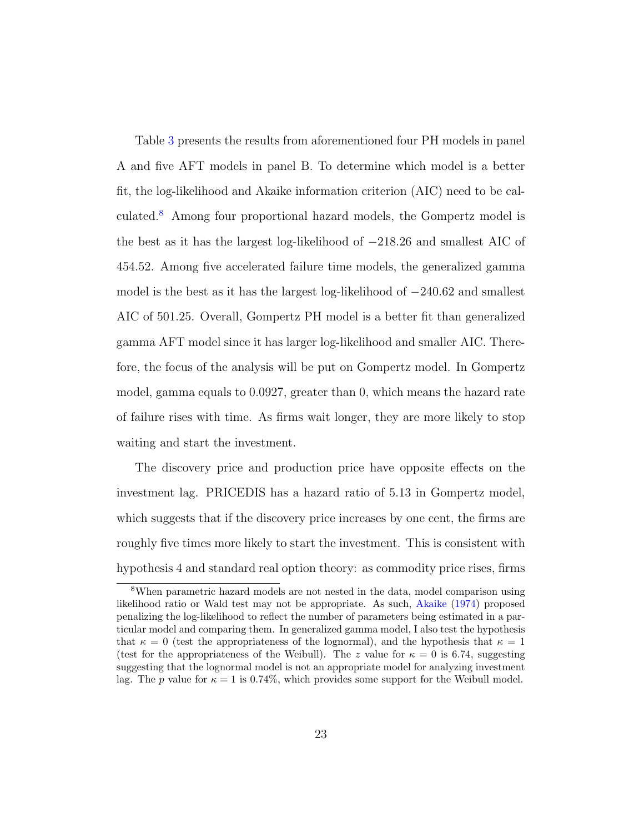Table [3](#page-21-0) presents the results from aforementioned four PH models in panel A and five AFT models in panel B. To determine which model is a better fit, the log-likelihood and Akaike information criterion (AIC) need to be calculated.[8](#page-22-0) Among four proportional hazard models, the Gompertz model is the best as it has the largest log-likelihood of −218.26 and smallest AIC of 454.52. Among five accelerated failure time models, the generalized gamma model is the best as it has the largest log-likelihood of  $-240.62$  and smallest AIC of 501.25. Overall, Gompertz PH model is a better fit than generalized gamma AFT model since it has larger log-likelihood and smaller AIC. Therefore, the focus of the analysis will be put on Gompertz model. In Gompertz model, gamma equals to 0.0927, greater than 0, which means the hazard rate of failure rises with time. As firms wait longer, they are more likely to stop waiting and start the investment.

The discovery price and production price have opposite effects on the investment lag. PRICEDIS has a hazard ratio of 5.13 in Gompertz model, which suggests that if the discovery price increases by one cent, the firms are roughly five times more likely to start the investment. This is consistent with hypothesis 4 and standard real option theory: as commodity price rises, firms

<span id="page-22-0"></span><sup>8</sup>When parametric hazard models are not nested in the data, model comparison using likelihood ratio or Wald test may not be appropriate. As such, [Akaike](#page-26-7) [\(1974\)](#page-26-7) proposed penalizing the log-likelihood to reflect the number of parameters being estimated in a particular model and comparing them. In generalized gamma model, I also test the hypothesis that  $\kappa = 0$  (test the appropriateness of the lognormal), and the hypothesis that  $\kappa = 1$ (test for the appropriateness of the Weibull). The z value for  $\kappa = 0$  is 6.74, suggesting suggesting that the lognormal model is not an appropriate model for analyzing investment lag. The p value for  $\kappa = 1$  is 0.74%, which provides some support for the Weibull model.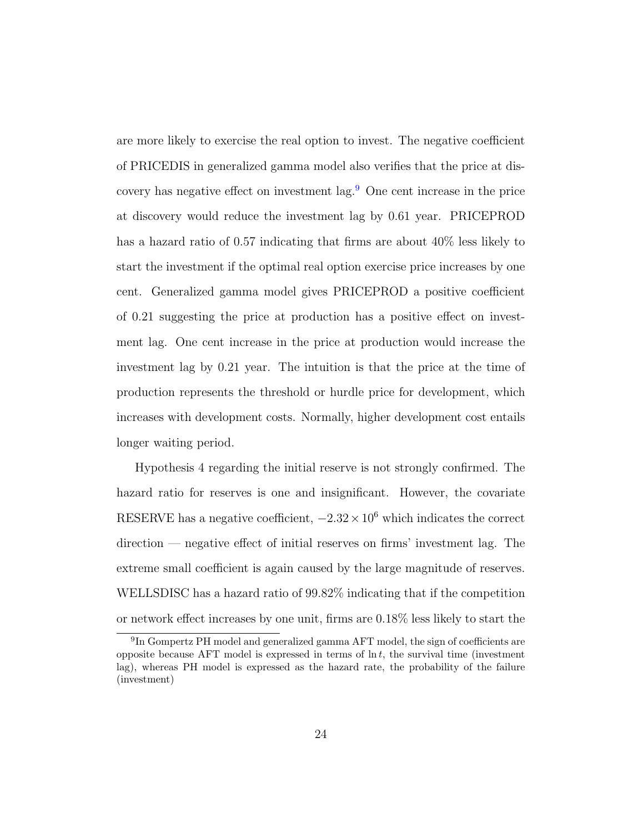are more likely to exercise the real option to invest. The negative coefficient of PRICEDIS in generalized gamma model also verifies that the price at discovery has negative effect on investment  $\log$ <sup>[9](#page-23-0)</sup>. One cent increase in the price at discovery would reduce the investment lag by 0.61 year. PRICEPROD has a hazard ratio of 0.57 indicating that firms are about 40% less likely to start the investment if the optimal real option exercise price increases by one cent. Generalized gamma model gives PRICEPROD a positive coefficient of 0.21 suggesting the price at production has a positive effect on investment lag. One cent increase in the price at production would increase the investment lag by 0.21 year. The intuition is that the price at the time of production represents the threshold or hurdle price for development, which increases with development costs. Normally, higher development cost entails longer waiting period.

Hypothesis 4 regarding the initial reserve is not strongly confirmed. The hazard ratio for reserves is one and insignificant. However, the covariate RESERVE has a negative coefficient,  $-2.32 \times 10^6$  which indicates the correct direction — negative effect of initial reserves on firms' investment lag. The extreme small coefficient is again caused by the large magnitude of reserves. WELLSDISC has a hazard ratio of 99.82% indicating that if the competition or network effect increases by one unit, firms are 0.18% less likely to start the

<span id="page-23-0"></span><sup>&</sup>lt;sup>9</sup>In Gompertz PH model and generalized gamma AFT model, the sign of coefficients are opposite because AFT model is expressed in terms of  $\ln t$ , the survival time (investment lag), whereas PH model is expressed as the hazard rate, the probability of the failure (investment)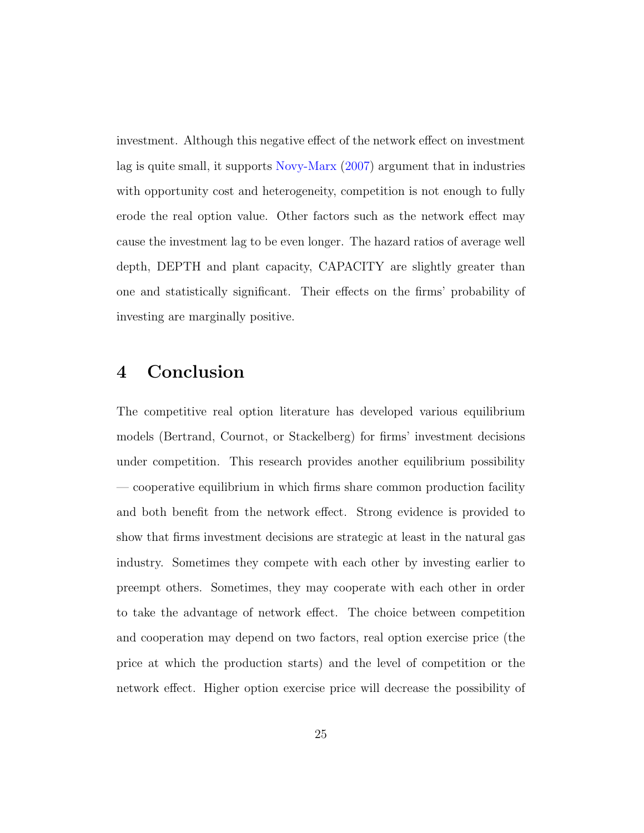investment. Although this negative effect of the network effect on investment lag is quite small, it supports [Novy-Marx](#page-28-4) [\(2007\)](#page-28-4) argument that in industries with opportunity cost and heterogeneity, competition is not enough to fully erode the real option value. Other factors such as the network effect may cause the investment lag to be even longer. The hazard ratios of average well depth, DEPTH and plant capacity, CAPACITY are slightly greater than one and statistically significant. Their effects on the firms' probability of investing are marginally positive.

### 4 Conclusion

The competitive real option literature has developed various equilibrium models (Bertrand, Cournot, or Stackelberg) for firms' investment decisions under competition. This research provides another equilibrium possibility — cooperative equilibrium in which firms share common production facility and both benefit from the network effect. Strong evidence is provided to show that firms investment decisions are strategic at least in the natural gas industry. Sometimes they compete with each other by investing earlier to preempt others. Sometimes, they may cooperate with each other in order to take the advantage of network effect. The choice between competition and cooperation may depend on two factors, real option exercise price (the price at which the production starts) and the level of competition or the network effect. Higher option exercise price will decrease the possibility of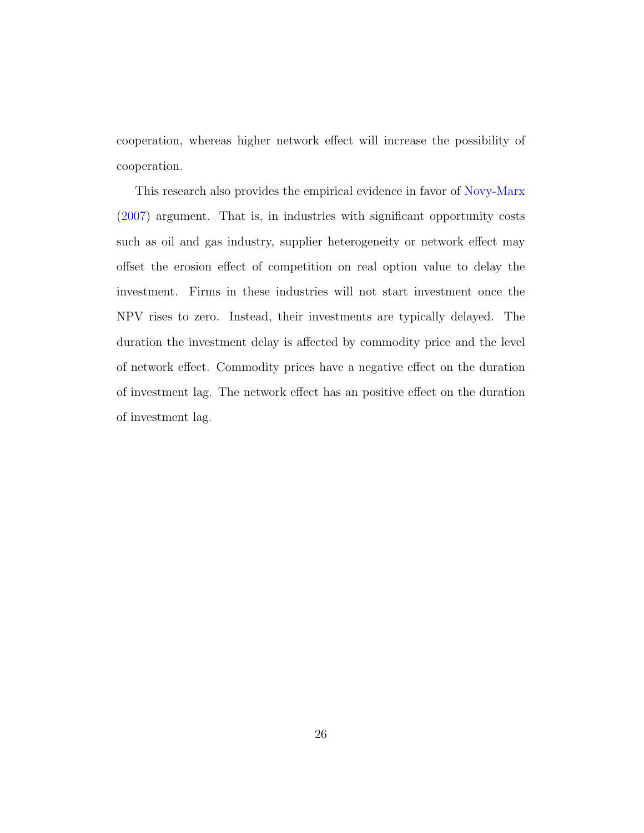cooperation, whereas higher network effect will increase the possibility of cooperation.

This research also provides the empirical evidence in favor of [Novy-Marx](#page-28-4) [\(2007\)](#page-28-4) argument. That is, in industries with significant opportunity costs such as oil and gas industry, supplier heterogeneity or network effect may offset the erosion effect of competition on real option value to delay the investment. Firms in these industries will not start investment once the NPV rises to zero. Instead, their investments are typically delayed. The duration the investment delay is affected by commodity price and the level of network effect. Commodity prices have a negative effect on the duration of investment lag. The network effect has an positive effect on the duration of investment lag.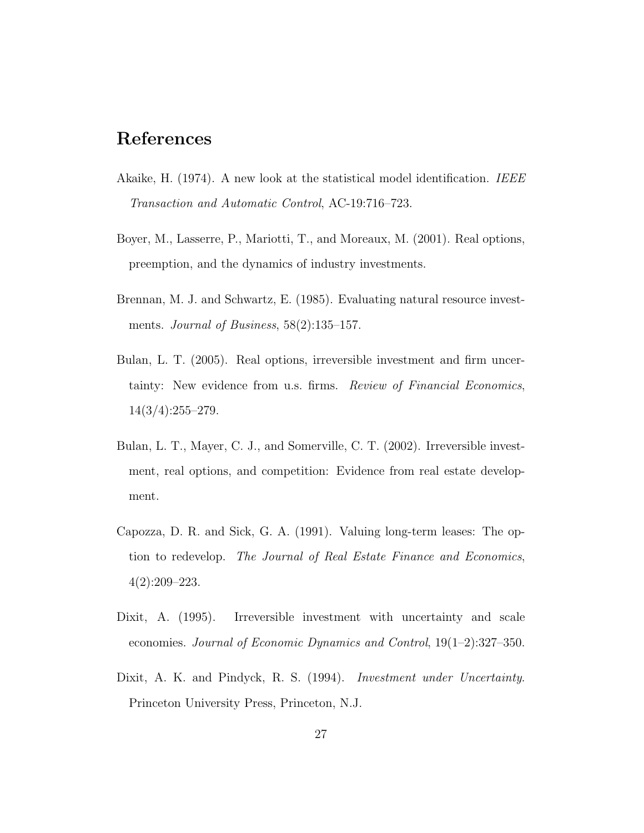### References

- <span id="page-26-7"></span>Akaike, H. (1974). A new look at the statistical model identification. IEEE Transaction and Automatic Control, AC-19:716–723.
- <span id="page-26-4"></span>Boyer, M., Lasserre, P., Mariotti, T., and Moreaux, M. (2001). Real options, preemption, and the dynamics of industry investments.
- <span id="page-26-0"></span>Brennan, M. J. and Schwartz, E. (1985). Evaluating natural resource investments. Journal of Business,  $58(2):135-157$ .
- <span id="page-26-5"></span>Bulan, L. T. (2005). Real options, irreversible investment and firm uncertainty: New evidence from u.s. firms. Review of Financial Economics, 14(3/4):255–279.
- <span id="page-26-6"></span>Bulan, L. T., Mayer, C. J., and Somerville, C. T. (2002). Irreversible investment, real options, and competition: Evidence from real estate development.
- <span id="page-26-3"></span>Capozza, D. R. and Sick, G. A. (1991). Valuing long-term leases: The option to redevelop. The Journal of Real Estate Finance and Economics, 4(2):209–223.
- <span id="page-26-2"></span>Dixit, A. (1995). Irreversible investment with uncertainty and scale economies. Journal of Economic Dynamics and Control, 19(1–2):327–350.
- <span id="page-26-1"></span>Dixit, A. K. and Pindyck, R. S. (1994). *Investment under Uncertainty*. Princeton University Press, Princeton, N.J.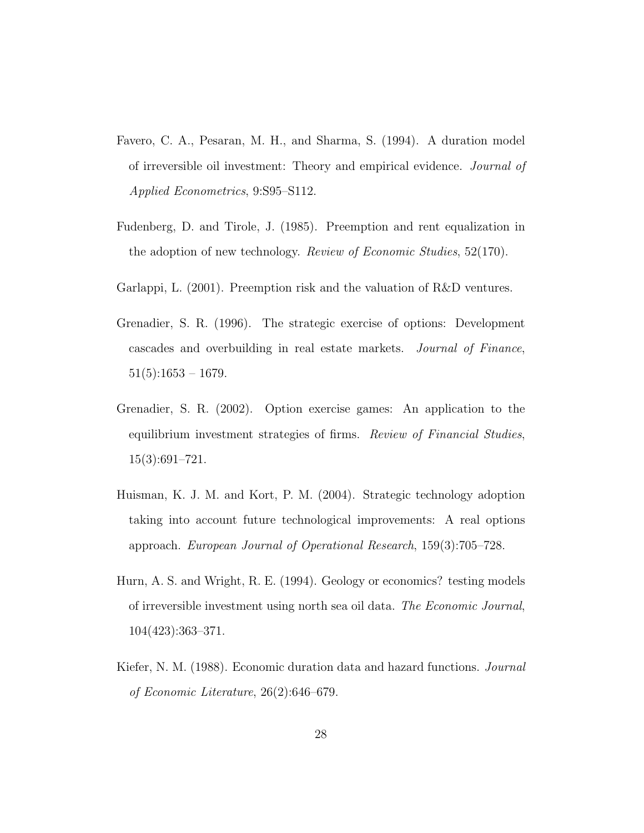- <span id="page-27-5"></span>Favero, C. A., Pesaran, M. H., and Sharma, S. (1994). A duration model of irreversible oil investment: Theory and empirical evidence. Journal of Applied Econometrics, 9:S95–S112.
- <span id="page-27-0"></span>Fudenberg, D. and Tirole, J. (1985). Preemption and rent equalization in the adoption of new technology. Review of Economic Studies, 52(170).
- <span id="page-27-3"></span>Garlappi, L. (2001). Preemption risk and the valuation of R&D ventures.
- <span id="page-27-1"></span>Grenadier, S. R. (1996). The strategic exercise of options: Development cascades and overbuilding in real estate markets. Journal of Finance,  $51(5):1653 - 1679.$
- <span id="page-27-2"></span>Grenadier, S. R. (2002). Option exercise games: An application to the equilibrium investment strategies of firms. Review of Financial Studies, 15(3):691–721.
- <span id="page-27-4"></span>Huisman, K. J. M. and Kort, P. M. (2004). Strategic technology adoption taking into account future technological improvements: A real options approach. European Journal of Operational Research, 159(3):705–728.
- <span id="page-27-6"></span>Hurn, A. S. and Wright, R. E. (1994). Geology or economics? testing models of irreversible investment using north sea oil data. The Economic Journal, 104(423):363–371.
- <span id="page-27-7"></span>Kiefer, N. M. (1988). Economic duration data and hazard functions. Journal of Economic Literature, 26(2):646–679.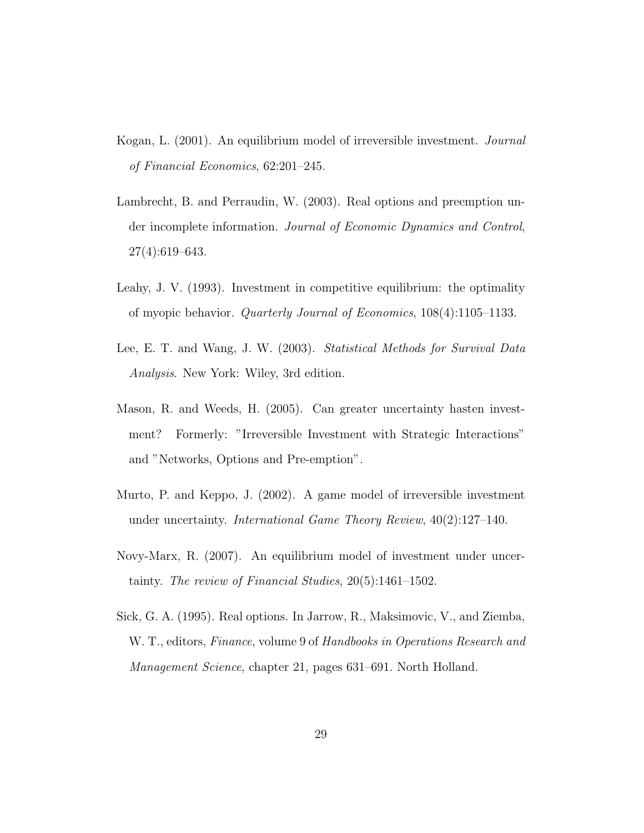- <span id="page-28-7"></span>Kogan, L. (2001). An equilibrium model of irreversible investment. Journal of Financial Economics, 62:201–245.
- <span id="page-28-3"></span>Lambrecht, B. and Perraudin, W. (2003). Real options and preemption under incomplete information. Journal of Economic Dynamics and Control, 27(4):619–643.
- <span id="page-28-6"></span>Leahy, J. V. (1993). Investment in competitive equilibrium: the optimality of myopic behavior. Quarterly Journal of Economics, 108(4):1105–1133.
- <span id="page-28-5"></span>Lee, E. T. and Wang, J. W. (2003). Statistical Methods for Survival Data Analysis. New York: Wiley, 3rd edition.
- <span id="page-28-1"></span>Mason, R. and Weeds, H. (2005). Can greater uncertainty hasten investment? Formerly: "Irreversible Investment with Strategic Interactions" and "Networks, Options and Pre-emption".
- <span id="page-28-2"></span>Murto, P. and Keppo, J. (2002). A game model of irreversible investment under uncertainty. International Game Theory Review, 40(2):127–140.
- <span id="page-28-4"></span>Novy-Marx, R. (2007). An equilibrium model of investment under uncertainty. The review of Financial Studies, 20(5):1461–1502.
- <span id="page-28-0"></span>Sick, G. A. (1995). Real options. In Jarrow, R., Maksimovic, V., and Ziemba, W. T., editors, Finance, volume 9 of Handbooks in Operations Research and Management Science, chapter 21, pages 631–691. North Holland.